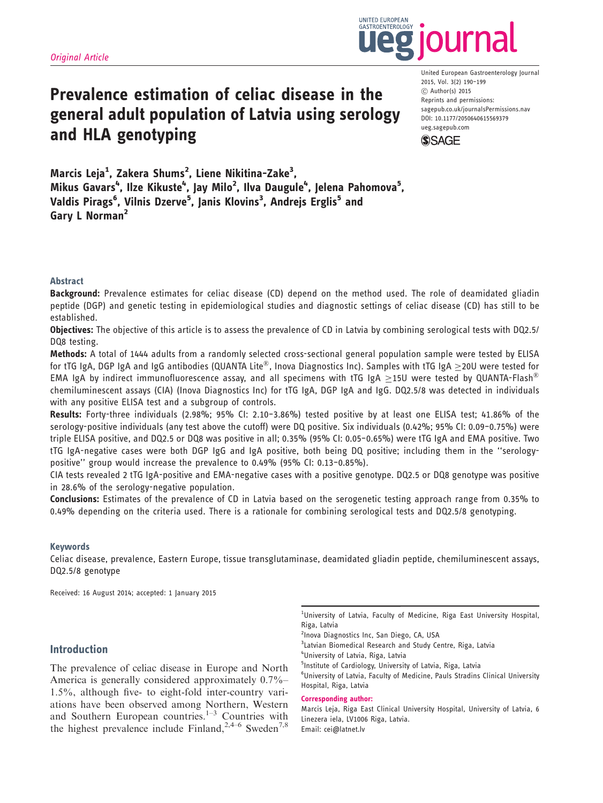# Prevalence estimation of celiac disease in the general adult population of Latvia using serology and HLA genotyping

United European Gastroenterology Journal 2015, Vol. 3(2) 190–199  $\circledcirc$  Author(s) 2015 Reprints and permissions: sagepub.co.uk/journalsPermissions.nav DOI: 10.1177/2050640615569379 ueg.sagepub.com

**SSAGE** 

**UNITED FUROPEAN** GASTROENTEROLOGY

Marcis Leja<sup>1</sup>, Zakera Shums<sup>2</sup>, Liene Nikitina-Zake<sup>3</sup>, Mikus Gavars", Ilze Kikuste", Jay Milo<sup>2</sup>, Ilva Daugule", Jelena Pahomova<sup>5</sup>, Valdis Pirags<sup>6</sup>, Vilnis Dzerve<sup>5</sup>, Janis Klovins<sup>3</sup>, Andrejs Erglis<sup>5</sup> and Gary L Norman<sup>2</sup>

## Abstract

Background: Prevalence estimates for celiac disease (CD) depend on the method used. The role of deamidated gliadin peptide (DGP) and genetic testing in epidemiological studies and diagnostic settings of celiac disease (CD) has still to be established.

Objectives: The objective of this article is to assess the prevalence of CD in Latvia by combining serological tests with DQ2.5/ DQ8 testing.

Methods: A total of 1444 adults from a randomly selected cross-sectional general population sample were tested by ELISA for tTG IgA, DGP IgA and IgG antibodies (QUANTA Lite®, Inova Diagnostics Inc). Samples with tTG IgA  $\geq$ 20U were tested for EMA IgA by indirect immunofluorescence assay, and all specimens with tTG IgA  $\geq$ 15U were tested by QUANTA-Flash® chemiluminescent assays (CIA) (Inova Diagnostics Inc) for tTG IgA, DGP IgA and IgG. DQ2.5/8 was detected in individuals with any positive ELISA test and a subgroup of controls.

Results: Forty-three individuals (2.98%; 95% CI: 2.10–3.86%) tested positive by at least one ELISA test; 41.86% of the serology-positive individuals (any test above the cutoff) were DQ positive. Six individuals (0.42%; 95% CI: 0.09–0.75%) were triple ELISA positive, and DQ2.5 or DQ8 was positive in all; 0.35% (95% CI: 0.05–0.65%) were tTG IgA and EMA positive. Two tTG IgA-negative cases were both DGP IgG and IgA positive, both being DQ positive; including them in the ''serologypositive'' group would increase the prevalence to 0.49% (95% CI: 0.13–0.85%).

CIA tests revealed 2 tTG IgA-positive and EMA-negative cases with a positive genotype. DQ2.5 or DQ8 genotype was positive in 28.6% of the serology-negative population.

Conclusions: Estimates of the prevalence of CD in Latvia based on the serogenetic testing approach range from 0.35% to 0.49% depending on the criteria used. There is a rationale for combining serological tests and DQ2.5/8 genotyping.

#### Keywords

Celiac disease, prevalence, Eastern Europe, tissue transglutaminase, deamidated gliadin peptide, chemiluminescent assays, DQ2.5/8 genotype

Received: 16 August 2014; accepted: 1 January 2015

# Introduction

The prevalence of celiac disease in Europe and North America is generally considered approximately 0.7%– 1.5%, although five- to eight-fold inter-country variations have been observed among Northern, Western and Southern European countries. $1-3$  Countries with the highest prevalence include Finland,<sup>2,4–6</sup> Sweden<sup>7,8</sup>

<sup>1</sup>University of Latvia, Faculty of Medicine, Riga East University Hospital, Riga, Latvia

<sup>2</sup>Inova Diagnostics Inc, San Diego, CA, USA

<sup>3</sup> Latvian Biomedical Research and Study Centre, Riga, Latvia

4 University of Latvia, Riga, Latvia

<sup>5</sup>Institute of Cardiology, University of Latvia, Riga, Latvia

<sup>6</sup>University of Latvia, Faculty of Medicine, Pauls Stradins Clinical University Hospital, Riga, Latvia

#### Corresponding author:

Marcis Leja, Riga East Clinical University Hospital, University of Latvia, 6 Linezera iela, LV1006 Riga, Latvia. Email: cei@latnet.lv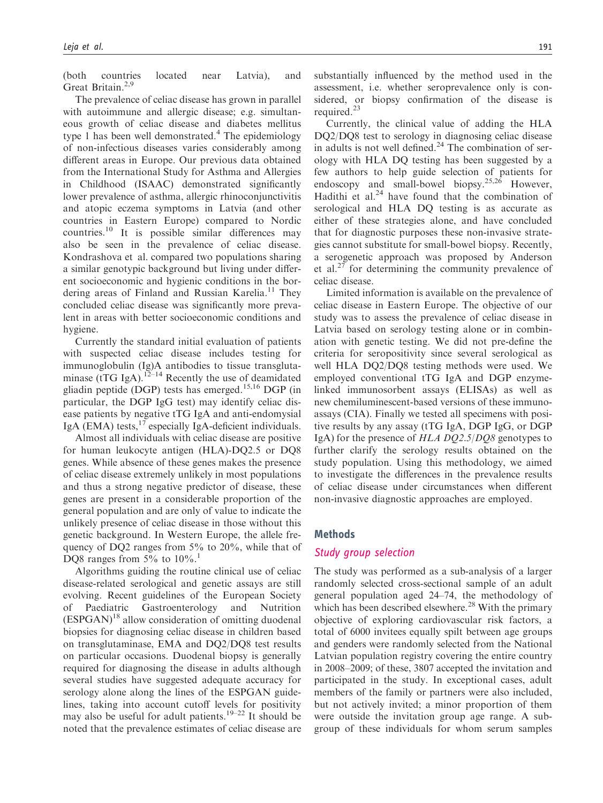(both countries located near Latvia), and Great Britain.<sup>2,9</sup>

The prevalence of celiac disease has grown in parallel with autoimmune and allergic disease; e.g. simultaneous growth of celiac disease and diabetes mellitus type 1 has been well demonstrated.<sup>4</sup> The epidemiology of non-infectious diseases varies considerably among different areas in Europe. Our previous data obtained from the International Study for Asthma and Allergies in Childhood (ISAAC) demonstrated significantly lower prevalence of asthma, allergic rhinoconjunctivitis and atopic eczema symptoms in Latvia (and other countries in Eastern Europe) compared to Nordic countries.<sup>10</sup> It is possible similar differences may also be seen in the prevalence of celiac disease. Kondrashova et al. compared two populations sharing a similar genotypic background but living under different socioeconomic and hygienic conditions in the bordering areas of Finland and Russian Karelia.<sup>11</sup> They concluded celiac disease was significantly more prevalent in areas with better socioeconomic conditions and hygiene.

Currently the standard initial evaluation of patients with suspected celiac disease includes testing for immunoglobulin (Ig)A antibodies to tissue transglutaminase (tTG IgA).<sup>12–14</sup> Recently the use of deamidated gliadin peptide (DGP) tests has emerged.<sup>15,16</sup> DGP (in particular, the DGP IgG test) may identify celiac disease patients by negative tTG IgA and anti-endomysial IgA (EMA) tests, $17$  especially IgA-deficient individuals.

Almost all individuals with celiac disease are positive for human leukocyte antigen (HLA)-DQ2.5 or DQ8 genes. While absence of these genes makes the presence of celiac disease extremely unlikely in most populations and thus a strong negative predictor of disease, these genes are present in a considerable proportion of the general population and are only of value to indicate the unlikely presence of celiac disease in those without this genetic background. In Western Europe, the allele frequency of DQ2 ranges from 5% to 20%, while that of DQ8 ranges from  $5\%$  to  $10\%$ .<sup>1</sup>

Algorithms guiding the routine clinical use of celiac disease-related serological and genetic assays are still evolving. Recent guidelines of the European Society of Paediatric Gastroenterology and Nutrition  $(ESPGAN)<sup>18</sup>$  allow consideration of omitting duodenal biopsies for diagnosing celiac disease in children based on transglutaminase, EMA and DQ2/DQ8 test results on particular occasions. Duodenal biopsy is generally required for diagnosing the disease in adults although several studies have suggested adequate accuracy for serology alone along the lines of the ESPGAN guidelines, taking into account cutoff levels for positivity may also be useful for adult patients.<sup>19–22</sup> It should be noted that the prevalence estimates of celiac disease are substantially influenced by the method used in the assessment, i.e. whether seroprevalence only is considered, or biopsy confirmation of the disease is required.<sup>23</sup>

Currently, the clinical value of adding the HLA DQ2/DQ8 test to serology in diagnosing celiac disease in adults is not well defined. $24$  The combination of serology with HLA DQ testing has been suggested by a few authors to help guide selection of patients for endoscopy and small-bowel biopsy.<sup>25,26</sup> However, Hadithi et al. $24$  have found that the combination of serological and HLA DQ testing is as accurate as either of these strategies alone, and have concluded that for diagnostic purposes these non-invasive strategies cannot substitute for small-bowel biopsy. Recently, a serogenetic approach was proposed by Anderson et al.<sup>27</sup> for determining the community prevalence of celiac disease.

Limited information is available on the prevalence of celiac disease in Eastern Europe. The objective of our study was to assess the prevalence of celiac disease in Latvia based on serology testing alone or in combination with genetic testing. We did not pre-define the criteria for seropositivity since several serological as well HLA DQ2/DQ8 testing methods were used. We employed conventional tTG IgA and DGP enzymelinked immunosorbent assays (ELISAs) as well as new chemiluminescent-based versions of these immunoassays (CIA). Finally we tested all specimens with positive results by any assay (tTG IgA, DGP IgG, or DGP IgA) for the presence of HLA DQ2.5/DQ8 genotypes to further clarify the serology results obtained on the study population. Using this methodology, we aimed to investigate the differences in the prevalence results of celiac disease under circumstances when different non-invasive diagnostic approaches are employed.

#### Methods

## Study group selection

The study was performed as a sub-analysis of a larger randomly selected cross-sectional sample of an adult general population aged 24–74, the methodology of which has been described elsewhere.<sup>28</sup> With the primary objective of exploring cardiovascular risk factors, a total of 6000 invitees equally spilt between age groups and genders were randomly selected from the National Latvian population registry covering the entire country in 2008–2009; of these, 3807 accepted the invitation and participated in the study. In exceptional cases, adult members of the family or partners were also included, but not actively invited; a minor proportion of them were outside the invitation group age range. A subgroup of these individuals for whom serum samples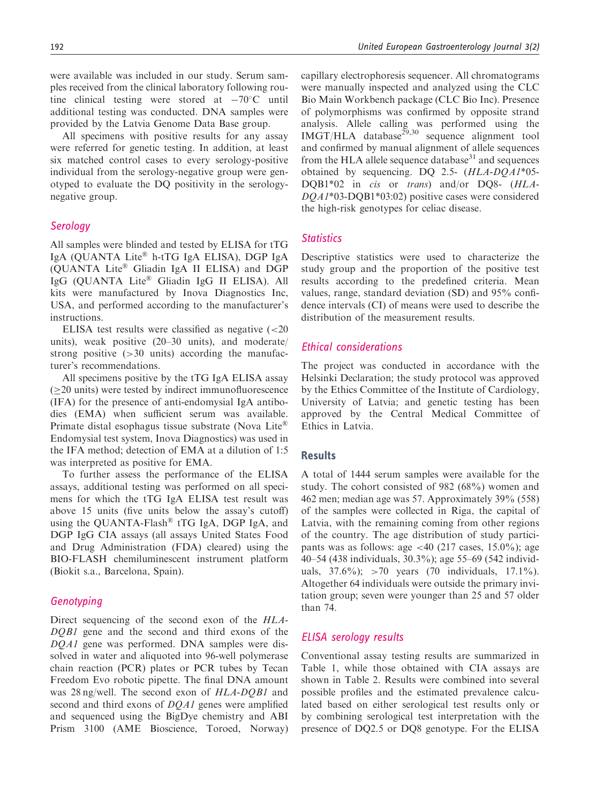were available was included in our study. Serum samples received from the clinical laboratory following routine clinical testing were stored at  $-70^{\circ}$ C until additional testing was conducted. DNA samples were provided by the Latvia Genome Data Base group.

All specimens with positive results for any assay were referred for genetic testing. In addition, at least six matched control cases to every serology-positive individual from the serology-negative group were genotyped to evaluate the DQ positivity in the serologynegative group.

## **Serology**

All samples were blinded and tested by ELISA for tTG IgA (QUANTA Lite® h-tTG IgA ELISA), DGP IgA (QUANTA Lite® Gliadin IgA II ELISA) and DGP IgG (QUANTA Lite® Gliadin IgG II ELISA). All kits were manufactured by Inova Diagnostics Inc, USA, and performed according to the manufacturer's instructions.

ELISA test results were classified as negative  $\left( < 20 \right)$ units), weak positive (20–30 units), and moderate/ strong positive  $(>30 \text{ units})$  according the manufacturer's recommendations.

All specimens positive by the tTG IgA ELISA assay  $(\geq 20 \text{ units})$  were tested by indirect immunofluorescence (IFA) for the presence of anti-endomysial IgA antibodies (EMA) when sufficient serum was available. Primate distal esophagus tissue substrate (Nova Lite® Endomysial test system, Inova Diagnostics) was used in the IFA method; detection of EMA at a dilution of 1:5 was interpreted as positive for EMA.

To further assess the performance of the ELISA assays, additional testing was performed on all specimens for which the tTG IgA ELISA test result was above 15 units (five units below the assay's cutoff) using the QUANTA-Flash® tTG IgA, DGP IgA, and DGP IgG CIA assays (all assays United States Food and Drug Administration (FDA) cleared) using the BIO-FLASH chemiluminescent instrument platform (Biokit s.a., Barcelona, Spain).

## **Genotyping**

Direct sequencing of the second exon of the HLA-DQB1 gene and the second and third exons of the DQA1 gene was performed. DNA samples were dissolved in water and aliquoted into 96-well polymerase chain reaction (PCR) plates or PCR tubes by Tecan Freedom Evo robotic pipette. The final DNA amount was 28 ng/well. The second exon of HLA-DQB1 and second and third exons of DQA1 genes were amplified and sequenced using the BigDye chemistry and ABI Prism 3100 (AME Bioscience, Toroed, Norway) capillary electrophoresis sequencer. All chromatograms were manually inspected and analyzed using the CLC Bio Main Workbench package (CLC Bio Inc). Presence of polymorphisms was confirmed by opposite strand analysis. Allele calling was performed using the  $IMGT/HLA$  database<sup>29,30</sup> sequence alignment tool and confirmed by manual alignment of allele sequences from the HLA allele sequence database $31$  and sequences obtained by sequencing. DQ 2.5- (HLA-DQA1\*05- DOB1\*02 in *cis* or *trans*) and/or DO8- (HLA-DQA1\*03-DQB1\*03:02) positive cases were considered the high-risk genotypes for celiac disease.

## **Statistics**

Descriptive statistics were used to characterize the study group and the proportion of the positive test results according to the predefined criteria. Mean values, range, standard deviation (SD) and 95% confidence intervals (CI) of means were used to describe the distribution of the measurement results.

# Ethical considerations

The project was conducted in accordance with the Helsinki Declaration; the study protocol was approved by the Ethics Committee of the Institute of Cardiology, University of Latvia; and genetic testing has been approved by the Central Medical Committee of Ethics in Latvia.

# **Results**

A total of 1444 serum samples were available for the study. The cohort consisted of 982 (68%) women and 462 men; median age was 57. Approximately 39% (558) of the samples were collected in Riga, the capital of Latvia, with the remaining coming from other regions of the country. The age distribution of study participants was as follows: age  $\lt 40$  (217 cases, 15.0%); age 40–54 (438 individuals, 30.3%); age 55–69 (542 individuals,  $37.6\%$ ;  $>70$  years (70 individuals,  $17.1\%$ ). Altogether 64 individuals were outside the primary invitation group; seven were younger than 25 and 57 older than 74.

## ELISA serology results

Conventional assay testing results are summarized in Table 1, while those obtained with CIA assays are shown in Table 2. Results were combined into several possible profiles and the estimated prevalence calculated based on either serological test results only or by combining serological test interpretation with the presence of DQ2.5 or DQ8 genotype. For the ELISA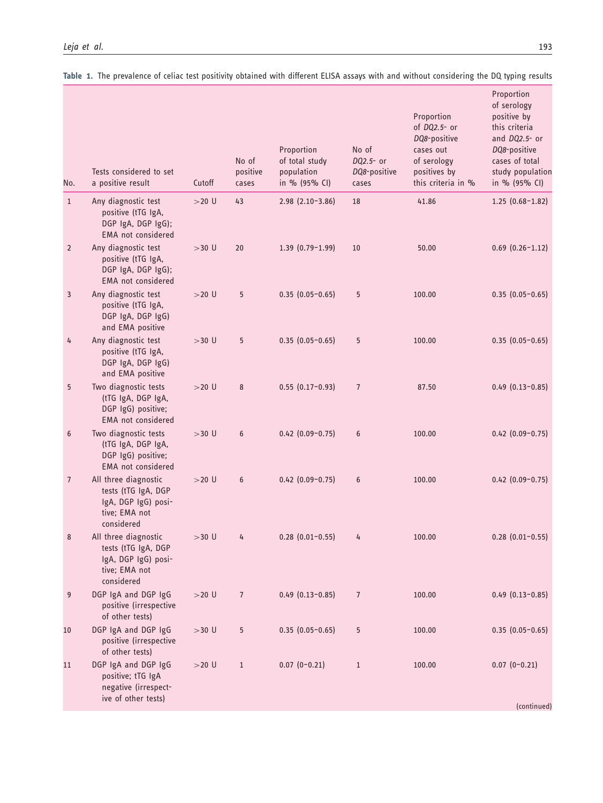| No.            | Tests considered to set<br>a positive result                                                      | Cutoff   | No of<br>positive<br>cases | Proportion<br>of total study<br>population<br>in % (95% CI) | No of<br>DQ2.5- or<br>DQ8-positive<br>cases | Proportion<br>of DQ2.5- or<br>DQ8-positive<br>cases out<br>of serology<br>positives by<br>this criteria in % | Proportion<br>of serology<br>positive by<br>this criteria<br>and DQ2.5- or<br>DQ8-positive<br>cases of total<br>study population<br>in % (95% CI) |
|----------------|---------------------------------------------------------------------------------------------------|----------|----------------------------|-------------------------------------------------------------|---------------------------------------------|--------------------------------------------------------------------------------------------------------------|---------------------------------------------------------------------------------------------------------------------------------------------------|
| $\mathbf{1}$   | Any diagnostic test<br>positive (tTG IgA,<br>DGP IgA, DGP IgG);<br>EMA not considered             | $>20$ U  | 43                         | $2.98$ $(2.10-3.86)$                                        | 18                                          | 41.86                                                                                                        | $1.25(0.68-1.82)$                                                                                                                                 |
| $\overline{2}$ | Any diagnostic test<br>positive (tTG IgA,<br>DGP IgA, DGP IgG);<br>EMA not considered             | $>30$ U  | 20                         | $1.39(0.79-1.99)$                                           | 10                                          | 50.00                                                                                                        | $0.69$ $(0.26-1.12)$                                                                                                                              |
| 3              | Any diagnostic test<br>positive (tTG IgA,<br>DGP IgA, DGP IgG)<br>and EMA positive                | $>20$ U  | 5                          | $0.35(0.05-0.65)$                                           | 5                                           | 100.00                                                                                                       | $0.35(0.05-0.65)$                                                                                                                                 |
| 4              | Any diagnostic test<br>positive (tTG IgA,<br>DGP IgA, DGP IgG)<br>and EMA positive                | $>30$ U  | 5                          | $0.35$ $(0.05 - 0.65)$                                      | 5                                           | 100.00                                                                                                       | $0.35(0.05-0.65)$                                                                                                                                 |
| 5              | Two diagnostic tests<br>(tTG IgA, DGP IgA,<br>DGP IgG) positive;<br><b>EMA</b> not considered     | $>20$ U  | 8                          | $0.55$ $(0.17-0.93)$                                        | $\overline{7}$                              | 87.50                                                                                                        | $0.49$ $(0.13 - 0.85)$                                                                                                                            |
| $6\,$          | Two diagnostic tests<br>(tTG IgA, DGP IgA,<br>DGP IgG) positive;<br>EMA not considered            | $>30$ U  | $6\,$                      | $0.42$ $(0.09 - 0.75)$                                      | 6                                           | 100.00                                                                                                       | $0.42$ (0.09-0.75)                                                                                                                                |
| $\overline{7}$ | All three diagnostic<br>tests (tTG IgA, DGP<br>IgA, DGP IgG) posi-<br>tive; EMA not<br>considered | $>20$ U  | $6\phantom{1}$             | $0.42$ $(0.09 - 0.75)$                                      | 6                                           | 100.00                                                                                                       | $0.42$ $(0.09 - 0.75)$                                                                                                                            |
| 8              | All three diagnostic<br>tests (tTG IgA, DGP<br>IgA, DGP IgG) posi-<br>tive; EMA not<br>considered | >30 U    | 4                          | $0.28$ $(0.01 - 0.55)$                                      | 4                                           | 100.00                                                                                                       | $0.28$ $(0.01 - 0.55)$                                                                                                                            |
| 9              | DGP IgA and DGP IgG<br>positive (irrespective<br>of other tests)                                  | $>$ 20 U | $\overline{7}$             | $0.49$ $(0.13 - 0.85)$                                      | $\overline{7}$                              | 100.00                                                                                                       | $0.49$ $(0.13 - 0.85)$                                                                                                                            |
| 10             | DGP IgA and DGP IgG<br>positive (irrespective<br>of other tests)                                  | $>$ 30 U | 5                          | $0.35$ $(0.05 - 0.65)$                                      | 5                                           | 100.00                                                                                                       | $0.35(0.05 - 0.65)$                                                                                                                               |
| 11             | DGP IgA and DGP IgG<br>positive; tTG IgA<br>negative (irrespect-<br>ive of other tests)           | $>$ 20 U | $\mathbf{1}$               | $0.07$ $(0-0.21)$                                           | $\mathbf{1}$                                | 100.00                                                                                                       | $0.07$ $(0-0.21)$<br>(continued)                                                                                                                  |

Table 1. The prevalence of celiac test positivity obtained with different ELISA assays with and without considering the DQ typing results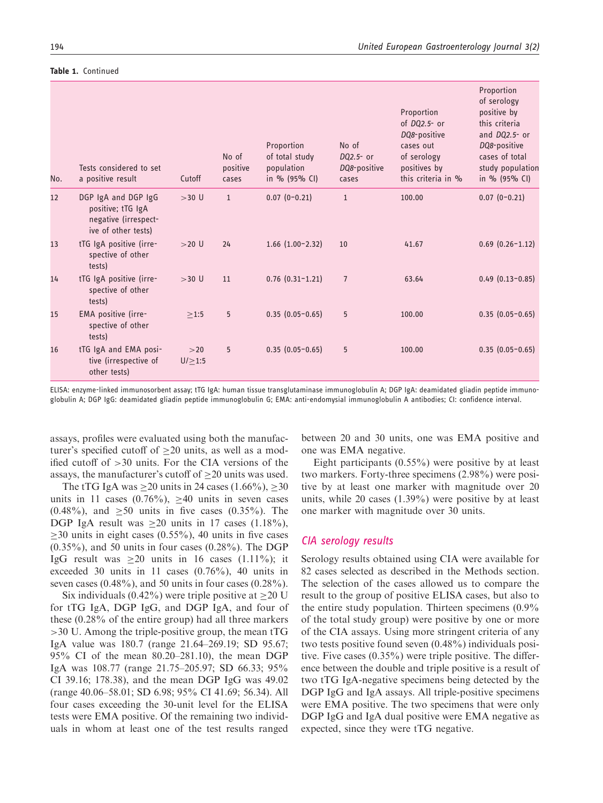| No. | Tests considered to set<br>a positive result                                            | Cutoff        | No of<br>positive<br>cases | Proportion<br>of total study<br>population<br>in % (95% CI) | No of<br>$DQ2.5$ - or<br>DQ8-positive<br>cases | Proportion<br>of $DQ2.5$ - or<br>DQ8-positive<br>cases out<br>of serology<br>positives by<br>this criteria in % | Proportion<br>of serology<br>positive by<br>this criteria<br>and DQ2.5- or<br>DQ8-positive<br>cases of total<br>study population<br>in % (95% CI) |
|-----|-----------------------------------------------------------------------------------------|---------------|----------------------------|-------------------------------------------------------------|------------------------------------------------|-----------------------------------------------------------------------------------------------------------------|---------------------------------------------------------------------------------------------------------------------------------------------------|
| 12  | DGP IgA and DGP IgG<br>positive; tTG IgA<br>negative (irrespect-<br>ive of other tests) | $>30$ U       | $\mathbf{1}$               | $0.07$ $(0-0.21)$                                           | $\mathbf{1}$                                   | 100.00                                                                                                          | $0.07(0-0.21)$                                                                                                                                    |
| 13  | tTG IgA positive (irre-<br>spective of other<br>tests)                                  | $>20$ U       | 24                         | $1.66$ $(1.00-2.32)$                                        | 10                                             | 41.67                                                                                                           | $0.69$ $(0.26-1.12)$                                                                                                                              |
| 14  | tTG IgA positive (irre-<br>spective of other<br>tests)                                  | $>30$ U       | 11                         | $0.76$ $(0.31-1.21)$                                        | $\overline{7}$                                 | 63.64                                                                                                           | $0.49(0.13-0.85)$                                                                                                                                 |
| 15  | EMA positive (irre-<br>spective of other<br>tests)                                      | >1:5          | 5                          | $0.35(0.05-0.65)$                                           | 5                                              | 100.00                                                                                                          | $0.35(0.05-0.65)$                                                                                                                                 |
| 16  | tTG IgA and EMA posi-<br>tive (irrespective of<br>other tests)                          | >20<br>U/>1:5 | 5                          | $0.35(0.05-0.65)$                                           | 5                                              | 100.00                                                                                                          | $0.35(0.05-0.65)$                                                                                                                                 |

#### Table 1. Continued

ELISA: enzyme-linked immunosorbent assay; tTG IgA: human tissue transglutaminase immunoglobulin A; DGP IgA: deamidated gliadin peptide immunoglobulin A; DGP IgG: deamidated gliadin peptide immunoglobulin G; EMA: anti-endomysial immunoglobulin A antibodies; CI: confidence interval.

assays, profiles were evaluated using both the manufacturer's specified cutoff of  $\geq$ 20 units, as well as a modified cutoff of >30 units. For the CIA versions of the assays, the manufacturer's cutoff of  $\geq$ 20 units was used.

The tTG IgA was  $\geq$  20 units in 24 cases (1.66%),  $\geq$  30 units in 11 cases  $(0.76\%)$ ,  $\geq 40$  units in seven cases  $(0.48\%)$ , and  $\geq 50$  units in five cases  $(0.35\%)$ . The DGP IgA result was  $\geq 20$  units in 17 cases (1.18%),  $\geq$ 30 units in eight cases (0.55%), 40 units in five cases  $(0.35\%)$ , and 50 units in four cases  $(0.28\%)$ . The DGP IgG result was  $\geq 20$  units in 16 cases (1.11%); it exceeded 30 units in 11 cases (0.76%), 40 units in seven cases  $(0.48\%)$ , and 50 units in four cases  $(0.28\%)$ .

Six individuals (0.42%) were triple positive at  $\geq$ 20 U for tTG IgA, DGP IgG, and DGP IgA, and four of these (0.28% of the entire group) had all three markers >30 U. Among the triple-positive group, the mean tTG IgA value was 180.7 (range 21.64–269.19; SD 95.67; 95% CI of the mean 80.20–281.10), the mean DGP IgA was 108.77 (range 21.75–205.97; SD 66.33; 95% CI 39.16; 178.38), and the mean DGP IgG was 49.02 (range 40.06–58.01; SD 6.98; 95% CI 41.69; 56.34). All four cases exceeding the 30-unit level for the ELISA tests were EMA positive. Of the remaining two individuals in whom at least one of the test results ranged between 20 and 30 units, one was EMA positive and one was EMA negative.

Eight participants (0.55%) were positive by at least two markers. Forty-three specimens (2.98%) were positive by at least one marker with magnitude over 20 units, while 20 cases  $(1.39\%)$  were positive by at least one marker with magnitude over 30 units.

# CIA serology results

Serology results obtained using CIA were available for 82 cases selected as described in the Methods section. The selection of the cases allowed us to compare the result to the group of positive ELISA cases, but also to the entire study population. Thirteen specimens (0.9% of the total study group) were positive by one or more of the CIA assays. Using more stringent criteria of any two tests positive found seven (0.48%) individuals positive. Five cases (0.35%) were triple positive. The difference between the double and triple positive is a result of two tTG IgA-negative specimens being detected by the DGP IgG and IgA assays. All triple-positive specimens were EMA positive. The two specimens that were only DGP IgG and IgA dual positive were EMA negative as expected, since they were tTG negative.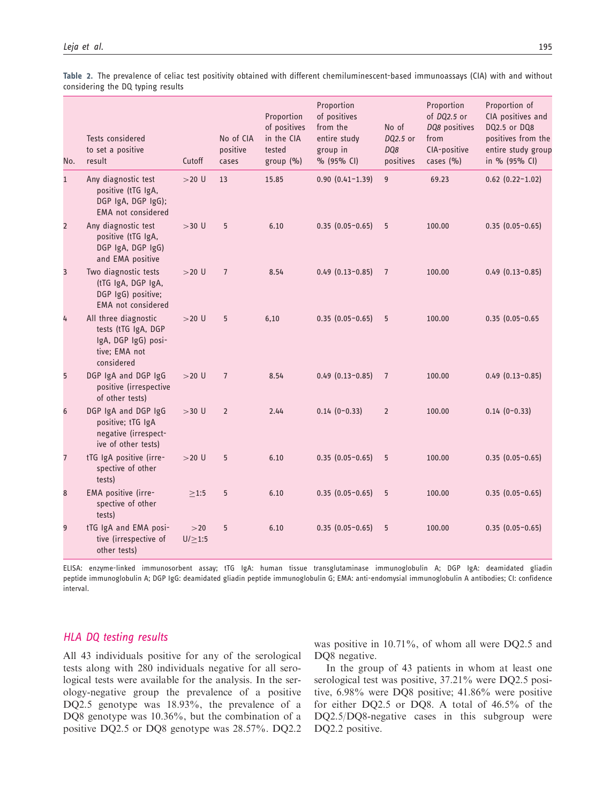| No.            | Tests considered<br>to set a positive<br>result                                                   | Cutoff        | No of CIA<br>positive<br>cases | Proportion<br>of positives<br>in the CIA<br>tested<br>group (%) | Proportion<br>of positives<br>from the<br>entire study<br>group in<br>% (95% CI) | No of<br>DQ2.5 or<br>DQ8<br>positives | Proportion<br>of DQ2.5 or<br>DQ8 positives<br>from<br>CIA-positive<br>cases (%) | Proportion of<br>CIA positives and<br>DQ2.5 or DQ8<br>positives from the<br>entire study group<br>in % (95% CI) |
|----------------|---------------------------------------------------------------------------------------------------|---------------|--------------------------------|-----------------------------------------------------------------|----------------------------------------------------------------------------------|---------------------------------------|---------------------------------------------------------------------------------|-----------------------------------------------------------------------------------------------------------------|
| $\mathbf{1}$   | Any diagnostic test<br>positive (tTG IgA,<br>DGP IgA, DGP IgG);<br><b>EMA</b> not considered      | $>20$ U       | 13                             | 15.85                                                           | $0.90$ $(0.41 - 1.39)$                                                           | 9                                     | 69.23                                                                           | $0.62$ $(0.22 - 1.02)$                                                                                          |
| $\overline{2}$ | Any diagnostic test<br>positive (tTG IgA,<br>DGP IgA, DGP IgG)<br>and EMA positive                | $>30$ U       | 5                              | 6.10                                                            | $0.35(0.05-0.65)$                                                                | 5                                     | 100.00                                                                          | $0.35(0.05-0.65)$                                                                                               |
| $\overline{3}$ | Two diagnostic tests<br>(tTG IgA, DGP IgA,<br>DGP IgG) positive;<br>EMA not considered            | $>20$ U       | $\overline{7}$                 | 8.54                                                            | $0.49$ $(0.13 - 0.85)$                                                           | $\overline{7}$                        | 100.00                                                                          | $0.49$ $(0.13 - 0.85)$                                                                                          |
| 4              | All three diagnostic<br>tests (tTG IgA, DGP<br>IgA, DGP IgG) posi-<br>tive; EMA not<br>considered | $>20$ U       | 5                              | 6,10                                                            | $0.35(0.05-0.65)$                                                                | 5                                     | 100.00                                                                          | $0.35(0.05 - 0.65)$                                                                                             |
| 5              | DGP IgA and DGP IgG<br>positive (irrespective<br>of other tests)                                  | $>20$ U       | $\overline{7}$                 | 8.54                                                            | $0.49$ $(0.13 - 0.85)$                                                           | $\overline{7}$                        | 100.00                                                                          | $0.49$ $(0.13 - 0.85)$                                                                                          |
| 6              | DGP IgA and DGP IgG<br>positive; tTG IgA<br>negative (irrespect-<br>ive of other tests)           | $>30$ U       | $\overline{2}$                 | 2.44                                                            | $0.14(0-0.33)$                                                                   | $\overline{2}$                        | 100.00                                                                          | $0.14(0-0.33)$                                                                                                  |
| $\overline{7}$ | tTG IgA positive (irre-<br>spective of other<br>tests)                                            | $>20$ U       | 5                              | 6.10                                                            | $0.35(0.05-0.65)$                                                                | 5                                     | 100.00                                                                          | $0.35(0.05-0.65)$                                                                                               |
| 8              | EMA positive (irre-<br>spective of other<br>tests)                                                | >1:5          | 5                              | 6.10                                                            | $0.35(0.05-0.65)$                                                                | 5                                     | 100.00                                                                          | $0.35(0.05-0.65)$                                                                                               |
| 9              | tTG IgA and EMA posi-<br>tive (irrespective of<br>other tests)                                    | >20<br>U/>1:5 | 5                              | 6.10                                                            | $0.35(0.05-0.65)$                                                                | 5                                     | 100.00                                                                          | $0.35(0.05-0.65)$                                                                                               |

Table 2. The prevalence of celiac test positivity obtained with different chemiluminescent-based immunoassays (CIA) with and without considering the DQ typing results

ELISA: enzyme-linked immunosorbent assay; tTG IgA: human tissue transglutaminase immunoglobulin A; DGP IgA: deamidated gliadin peptide immunoglobulin A; DGP IgG: deamidated gliadin peptide immunoglobulin G; EMA: anti-endomysial immunoglobulin A antibodies; CI: confidence interval.

# HLA DQ testing results

All 43 individuals positive for any of the serological tests along with 280 individuals negative for all serological tests were available for the analysis. In the serology-negative group the prevalence of a positive DQ2.5 genotype was 18.93%, the prevalence of a DQ8 genotype was 10.36%, but the combination of a positive DQ2.5 or DQ8 genotype was 28.57%. DQ2.2 was positive in 10.71%, of whom all were DQ2.5 and DQ8 negative.

In the group of 43 patients in whom at least one serological test was positive, 37.21% were DQ2.5 positive, 6.98% were DQ8 positive; 41.86% were positive for either DQ2.5 or DQ8. A total of 46.5% of the DQ2.5/DQ8-negative cases in this subgroup were DQ2.2 positive.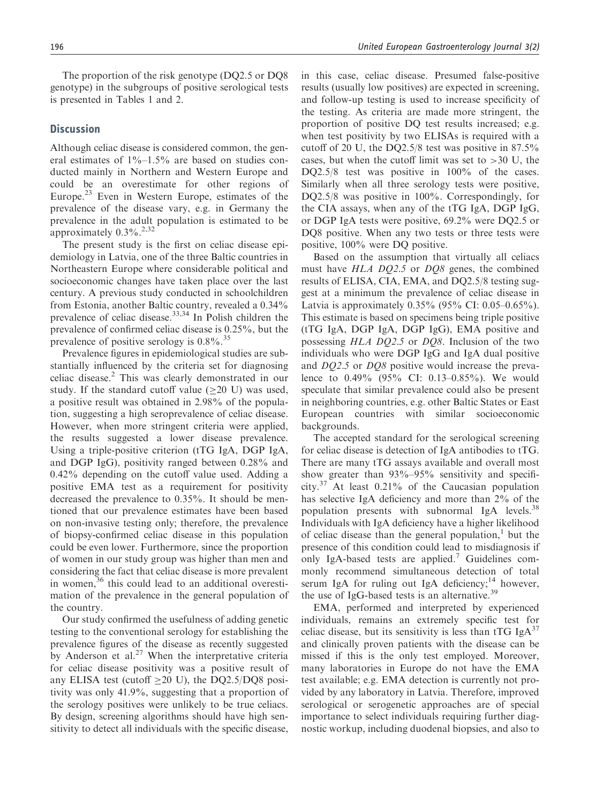The proportion of the risk genotype (DQ2.5 or DQ8 genotype) in the subgroups of positive serological tests is presented in Tables 1 and 2.

## **Discussion**

Although celiac disease is considered common, the general estimates of  $1\%$ –1.5% are based on studies conducted mainly in Northern and Western Europe and could be an overestimate for other regions of Europe.<sup>23</sup> Even in Western Europe, estimates of the prevalence of the disease vary, e.g. in Germany the prevalence in the adult population is estimated to be approximately  $0.3\%$ <sup>2,32</sup>

The present study is the first on celiac disease epidemiology in Latvia, one of the three Baltic countries in Northeastern Europe where considerable political and socioeconomic changes have taken place over the last century. A previous study conducted in schoolchildren from Estonia, another Baltic country, revealed a 0.34% prevalence of celiac disease.<sup>33,34</sup> In Polish children the prevalence of confirmed celiac disease is 0.25%, but the prevalence of positive serology is  $0.8\%$ .<sup>35</sup>

Prevalence figures in epidemiological studies are substantially influenced by the criteria set for diagnosing celiac disease.<sup>2</sup> This was clearly demonstrated in our study. If the standard cutoff value  $(\geq 20 \text{ U})$  was used, a positive result was obtained in 2.98% of the population, suggesting a high seroprevalence of celiac disease. However, when more stringent criteria were applied, the results suggested a lower disease prevalence. Using a triple-positive criterion (tTG IgA, DGP IgA, and DGP IgG), positivity ranged between 0.28% and 0.42% depending on the cutoff value used. Adding a positive EMA test as a requirement for positivity decreased the prevalence to 0.35%. It should be mentioned that our prevalence estimates have been based on non-invasive testing only; therefore, the prevalence of biopsy-confirmed celiac disease in this population could be even lower. Furthermore, since the proportion of women in our study group was higher than men and considering the fact that celiac disease is more prevalent in women, $36$  this could lead to an additional overestimation of the prevalence in the general population of the country.

Our study confirmed the usefulness of adding genetic testing to the conventional serology for establishing the prevalence figures of the disease as recently suggested by Anderson et al.<sup>27</sup> When the interpretative criteria for celiac disease positivity was a positive result of any ELISA test (cutoff  $\geq$ 20 U), the DQ2.5/DQ8 positivity was only 41.9%, suggesting that a proportion of the serology positives were unlikely to be true celiacs. By design, screening algorithms should have high sensitivity to detect all individuals with the specific disease, in this case, celiac disease. Presumed false-positive results (usually low positives) are expected in screening, and follow-up testing is used to increase specificity of the testing. As criteria are made more stringent, the proportion of positive DQ test results increased; e.g. when test positivity by two ELISAs is required with a cutoff of 20 U, the DQ2.5/8 test was positive in 87.5% cases, but when the cutoff limit was set to  $>30$  U, the DQ2.5/8 test was positive in 100% of the cases. Similarly when all three serology tests were positive, DQ2.5/8 was positive in 100%. Correspondingly, for the CIA assays, when any of the tTG IgA, DGP IgG, or DGP IgA tests were positive, 69.2% were DQ2.5 or DQ8 positive. When any two tests or three tests were positive, 100% were DQ positive.

Based on the assumption that virtually all celiacs must have HLA DQ2.5 or DQ8 genes, the combined results of ELISA, CIA, EMA, and DQ2.5/8 testing suggest at a minimum the prevalence of celiac disease in Latvia is approximately 0.35% (95% CI: 0.05–0.65%). This estimate is based on specimens being triple positive (tTG IgA, DGP IgA, DGP IgG), EMA positive and possessing HLA DQ2.5 or DQ8. Inclusion of the two individuals who were DGP IgG and IgA dual positive and DQ2.5 or DQ8 positive would increase the prevalence to 0.49% (95% CI: 0.13–0.85%). We would speculate that similar prevalence could also be present in neighboring countries, e.g. other Baltic States or East European countries with similar socioeconomic backgrounds.

The accepted standard for the serological screening for celiac disease is detection of IgA antibodies to tTG. There are many tTG assays available and overall most show greater than 93%–95% sensitivity and specificity.<sup>37</sup> At least  $0.21\%$  of the Caucasian population has selective IgA deficiency and more than 2% of the population presents with subnormal IgA levels. $38$ Individuals with IgA deficiency have a higher likelihood of celiac disease than the general population, $<sup>1</sup>$  but the</sup> presence of this condition could lead to misdiagnosis if only IgA-based tests are applied.<sup>7</sup> Guidelines commonly recommend simultaneous detection of total serum IgA for ruling out IgA deficiency;<sup>14</sup> however, the use of IgG-based tests is an alternative.<sup>39</sup>

EMA, performed and interpreted by experienced individuals, remains an extremely specific test for celiac disease, but its sensitivity is less than tTG IgA<sup>37</sup> and clinically proven patients with the disease can be missed if this is the only test employed. Moreover, many laboratories in Europe do not have the EMA test available; e.g. EMA detection is currently not provided by any laboratory in Latvia. Therefore, improved serological or serogenetic approaches are of special importance to select individuals requiring further diagnostic workup, including duodenal biopsies, and also to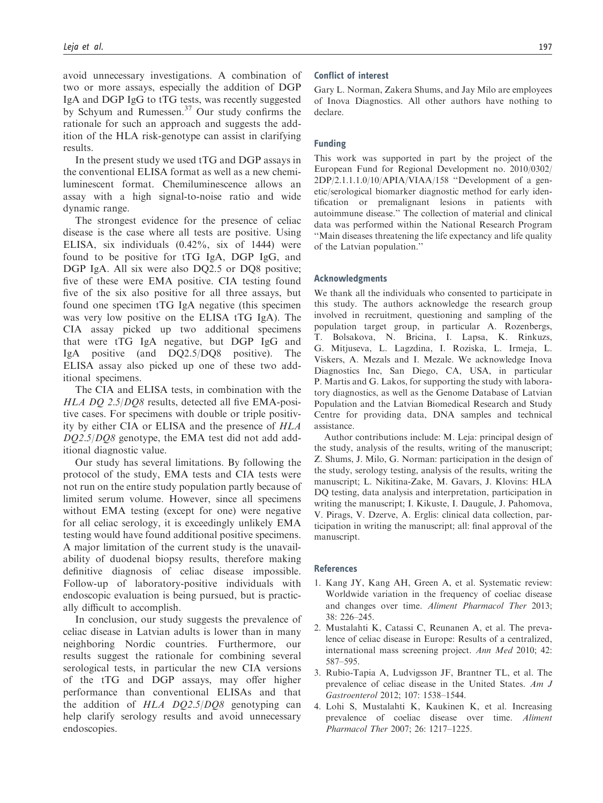avoid unnecessary investigations. A combination of two or more assays, especially the addition of DGP IgA and DGP IgG to tTG tests, was recently suggested by Schyum and Rumessen.<sup>37</sup> Our study confirms the rationale for such an approach and suggests the addition of the HLA risk-genotype can assist in clarifying results.

In the present study we used tTG and DGP assays in the conventional ELISA format as well as a new chemiluminescent format. Chemiluminescence allows an assay with a high signal-to-noise ratio and wide dynamic range.

The strongest evidence for the presence of celiac disease is the case where all tests are positive. Using ELISA, six individuals (0.42%, six of 1444) were found to be positive for tTG IgA, DGP IgG, and DGP IgA. All six were also DQ2.5 or DQ8 positive; five of these were EMA positive. CIA testing found five of the six also positive for all three assays, but found one specimen tTG IgA negative (this specimen was very low positive on the ELISA tTG IgA). The CIA assay picked up two additional specimens that were tTG IgA negative, but DGP IgG and IgA positive (and DQ2.5/DQ8 positive). The ELISA assay also picked up one of these two additional specimens.

The CIA and ELISA tests, in combination with the HLA DQ 2.5/DQ8 results, detected all five EMA-positive cases. For specimens with double or triple positivity by either CIA or ELISA and the presence of HLA DQ2.5/DQ8 genotype, the EMA test did not add additional diagnostic value.

Our study has several limitations. By following the protocol of the study, EMA tests and CIA tests were not run on the entire study population partly because of limited serum volume. However, since all specimens without EMA testing (except for one) were negative for all celiac serology, it is exceedingly unlikely EMA testing would have found additional positive specimens. A major limitation of the current study is the unavailability of duodenal biopsy results, therefore making definitive diagnosis of celiac disease impossible. Follow-up of laboratory-positive individuals with endoscopic evaluation is being pursued, but is practically difficult to accomplish.

In conclusion, our study suggests the prevalence of celiac disease in Latvian adults is lower than in many neighboring Nordic countries. Furthermore, our results suggest the rationale for combining several serological tests, in particular the new CIA versions of the tTG and DGP assays, may offer higher performance than conventional ELISAs and that the addition of HLA DQ2.5/DQ8 genotyping can help clarify serology results and avoid unnecessary endoscopies.

## Conflict of interest

Gary L. Norman, Zakera Shums, and Jay Milo are employees of Inova Diagnostics. All other authors have nothing to declare.

#### Funding

This work was supported in part by the project of the European Fund for Regional Development no. 2010/0302/ 2DP/2.1.1.1.0/10/APIA/VIAA/158 ''Development of a genetic/serological biomarker diagnostic method for early identification or premalignant lesions in patients with autoimmune disease.'' The collection of material and clinical data was performed within the National Research Program ''Main diseases threatening the life expectancy and life quality of the Latvian population.''

## Acknowledgments

We thank all the individuals who consented to participate in this study. The authors acknowledge the research group involved in recruitment, questioning and sampling of the population target group, in particular A. Rozenbergs, T. Bolsakova, N. Bricina, I. Lapsa, K. Rinkuzs, G. Mitjuseva, L. Lagzdina, I. Roziska, L. Irmeja, L. Viskers, A. Mezals and I. Mezale. We acknowledge Inova Diagnostics Inc, San Diego, CA, USA, in particular P. Martis and G. Lakos, for supporting the study with laboratory diagnostics, as well as the Genome Database of Latvian Population and the Latvian Biomedical Research and Study Centre for providing data, DNA samples and technical assistance.

Author contributions include: M. Leja: principal design of the study, analysis of the results, writing of the manuscript; Z. Shums, J. Milo, G. Norman: participation in the design of the study, serology testing, analysis of the results, writing the manuscript; L. Nikitina-Zake, M. Gavars, J. Klovins: HLA DQ testing, data analysis and interpretation, participation in writing the manuscript; I. Kikuste, I. Daugule, J. Pahomova, V. Pirags, V. Dzerve, A. Erglis: clinical data collection, participation in writing the manuscript; all: final approval of the manuscript.

#### References

- 1. Kang JY, Kang AH, Green A, et al. Systematic review: Worldwide variation in the frequency of coeliac disease and changes over time. Aliment Pharmacol Ther 2013; 38: 226–245.
- 2. Mustalahti K, Catassi C, Reunanen A, et al. The prevalence of celiac disease in Europe: Results of a centralized, international mass screening project. Ann Med 2010; 42: 587–595.
- 3. Rubio-Tapia A, Ludvigsson JF, Brantner TL, et al. The prevalence of celiac disease in the United States. Am J Gastroenterol 2012; 107: 1538–1544.
- 4. Lohi S, Mustalahti K, Kaukinen K, et al. Increasing prevalence of coeliac disease over time. Aliment Pharmacol Ther 2007; 26: 1217–1225.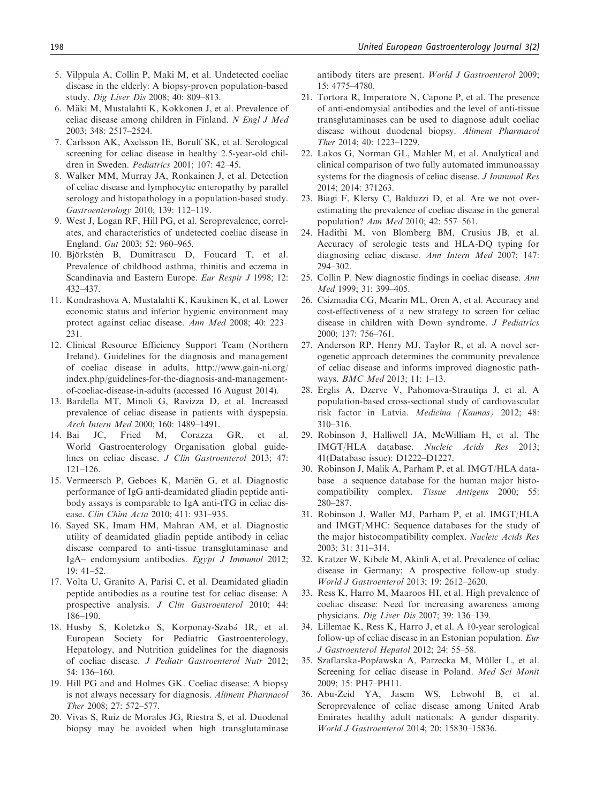- 5. Vilppula A, Collin P, Maki M, et al. Undetected coeliac disease in the elderly: A biopsy-proven population-based study. Dig Liver Dis 2008; 40: 809–813.
- 6. Mäki M, Mustalahti K, Kokkonen J, et al. Prevalence of celiac disease among children in Finland. N Engl J Med 2003; 348: 2517–2524.
- 7. Carlsson AK, Axelsson IE, Borulf SK, et al. Serological screening for celiac disease in healthy 2.5-year-old children in Sweden. Pediatrics 2001; 107: 42–45.
- 8. Walker MM, Murray JA, Ronkainen J, et al. Detection of celiac disease and lymphocytic enteropathy by parallel serology and histopathology in a population-based study. Gastroenterology 2010; 139: 112–119.
- 9. West J, Logan RF, Hill PG, et al. Seroprevalence, correlates, and characteristics of undetected coeliac disease in England. Gut 2003; 52: 960–965.
- 10. Björkstén B, Dumitrascu D, Foucard T, et al. Prevalence of childhood asthma, rhinitis and eczema in Scandinavia and Eastern Europe. Eur Respir J 1998; 12: 432–437.
- 11. Kondrashova A, Mustalahti K, Kaukinen K, et al. Lower economic status and inferior hygienic environment may protect against celiac disease. Ann Med 2008; 40: 223– 231.
- 12. Clinical Resource Efficiency Support Team (Northern Ireland). Guidelines for the diagnosis and management of coeliac disease in adults, [http://www.gain-ni.org/](http://www.gain-ni.org/index.php/guidelines-for-the-diagnosis-and-management-of-coeliac-disease-in-adults) [index.php/guidelines-for-the-diagnosis-and-management](http://www.gain-ni.org/index.php/guidelines-for-the-diagnosis-and-management-of-coeliac-disease-in-adults)[of-coeliac-disease-in-adults](http://www.gain-ni.org/index.php/guidelines-for-the-diagnosis-and-management-of-coeliac-disease-in-adults) (accessed 16 August 2014).
- 13. Bardella MT, Minoli G, Ravizza D, et al. Increased prevalence of celiac disease in patients with dyspepsia. Arch Intern Med 2000; 160: 1489–1491.
- 14. Bai JC, Fried M, Corazza GR, et al. World Gastroenterology Organisation global guidelines on celiac disease. J Clin Gastroenterol 2013; 47: 121–126.
- 15. Vermeersch P, Geboes K, Mariën G, et al. Diagnostic performance of IgG anti-deamidated gliadin peptide antibody assays is comparable to IgA anti-tTG in celiac disease. Clin Chim Acta 2010; 411: 931–935.
- 16. Sayed SK, Imam HM, Mahran AM, et al. Diagnostic utility of deamidated gliadin peptide antibody in celiac disease compared to anti-tissue transglutaminase and IgA– endomysium antibodies. Egypt J Immunol 2012; 19: 41–52.
- 17. Volta U, Granito A, Parisi C, et al. Deamidated gliadin peptide antibodies as a routine test for celiac disease: A prospective analysis. J Clin Gastroenterol 2010; 44: 186–190.
- 18. Husby S, Koletzko S, Korponay-Szabó IR, et al. European Society for Pediatric Gastroenterology, Hepatology, and Nutrition guidelines for the diagnosis of coeliac disease. J Pediatr Gastroenterol Nutr 2012; 54: 136–160.
- 19. Hill PG and and Holmes GK. Coeliac disease: A biopsy is not always necessary for diagnosis. Aliment Pharmacol Ther 2008; 27: 572–577.
- 20. Vivas S, Ruiz de Morales JG, Riestra S, et al. Duodenal biopsy may be avoided when high transglutaminase

antibody titers are present. World J Gastroenterol 2009; 15: 4775–4780.

- 21. Tortora R, Imperatore N, Capone P, et al. The presence of anti-endomysial antibodies and the level of anti-tissue transglutaminases can be used to diagnose adult coeliac disease without duodenal biopsy. Aliment Pharmacol Ther 2014; 40: 1223–1229.
- 22. Lakos G, Norman GL, Mahler M, et al. Analytical and clinical comparison of two fully automated immunoassay systems for the diagnosis of celiac disease. J Immunol Res 2014; 2014: 371263.
- 23. Biagi F, Klersy C, Balduzzi D, et al. Are we not overestimating the prevalence of coeliac disease in the general population? Ann Med 2010; 42: 557–561.
- 24. Hadithi M, von Blomberg BM, Crusius JB, et al. Accuracy of serologic tests and HLA-DQ typing for diagnosing celiac disease. Ann Intern Med 2007; 147: 294–302.
- 25. Collin P. New diagnostic findings in coeliac disease. Ann Med 1999; 31: 399–405.
- 26. Csizmadia CG, Mearin ML, Oren A, et al. Accuracy and cost-effectiveness of a new strategy to screen for celiac disease in children with Down syndrome. J Pediatrics 2000; 137: 756–761.
- 27. Anderson RP, Henry MJ, Taylor R, et al. A novel serogenetic approach determines the community prevalence of celiac disease and informs improved diagnostic pathways. BMC Med 2013; 11: 1–13.
- 28. Erglis A, Dzerve V, Pahomova-Strautina J, et al. A population-based cross-sectional study of cardiovascular risk factor in Latvia. Medicina (Kaunas) 2012; 48: 310–316.
- 29. Robinson J, Halliwell JA, McWilliam H, et al. The IMGT/HLA database. Nucleic Acids Res 2013; 41(Database issue): D1222–D1227.
- 30. Robinson J, Malik A, Parham P, et al. IMGT/HLA database—a sequence database for the human major histocompatibility complex. Tissue Antigens 2000; 55: 280–287.
- 31. Robinson J, Waller MJ, Parham P, et al. IMGT/HLA and IMGT/MHC: Sequence databases for the study of the major histocompatibility complex. Nucleic Acids Res 2003; 31: 311–314.
- 32. Kratzer W, Kibele M, Akinli A, et al. Prevalence of celiac disease in Germany: A prospective follow-up study. World J Gastroenterol 2013; 19: 2612–2620.
- 33. Ress K, Harro M, Maaroos HI, et al. High prevalence of coeliac disease: Need for increasing awareness among physicians. Dig Liver Dis 2007; 39: 136–139.
- 34. Lillemae K, Ress K, Harro J, et al. A 10-year serological follow-up of celiac disease in an Estonian population. Eur J Gastroenterol Hepatol 2012; 24: 55–58.
- 35. Szaflarska-Poplawska A, Parzecka M, Müller L, et al. Screening for celiac disease in Poland. Med Sci Monit 2009; 15: PH7–PH11.
- 36. Abu-Zeid YA, Jasem WS, Lebwohl B, et al. Seroprevalence of celiac disease among United Arab Emirates healthy adult nationals: A gender disparity. World J Gastroenterol 2014; 20: 15830–15836.